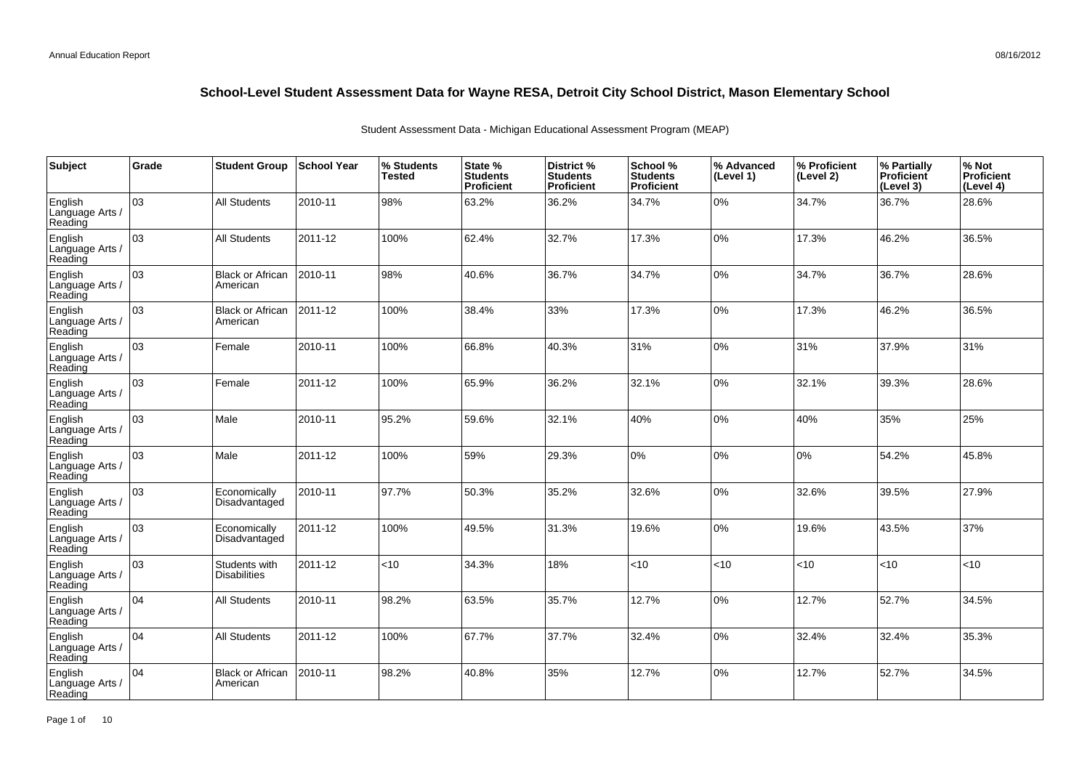| Subject                               | Grade | <b>Student Group</b>                 | <b>School Year</b> | % Students<br><b>Tested</b> | State %<br><b>Students</b><br>Proficient | District %<br><b>Students</b><br><b>Proficient</b> | School %<br><b>Students</b><br><b>Proficient</b> | % Advanced<br>(Level 1) | % Proficient<br>(Level 2) | % Partially<br><b>Proficient</b><br>(Level 3) | % Not<br><b>Proficient</b><br>(Level 4) |
|---------------------------------------|-------|--------------------------------------|--------------------|-----------------------------|------------------------------------------|----------------------------------------------------|--------------------------------------------------|-------------------------|---------------------------|-----------------------------------------------|-----------------------------------------|
| English<br>Language Arts /<br>Reading | 03    | <b>All Students</b>                  | 2010-11            | 98%                         | 63.2%                                    | 36.2%                                              | 34.7%                                            | 0%                      | 34.7%                     | 36.7%                                         | 28.6%                                   |
| English<br>Language Arts /<br>Reading | 03    | <b>All Students</b>                  | 2011-12            | 100%                        | 62.4%                                    | 32.7%                                              | 17.3%                                            | 0%                      | 17.3%                     | 46.2%                                         | 36.5%                                   |
| English<br>Language Arts /<br>Reading | 03    | <b>Black or African</b><br>American  | 2010-11            | 98%                         | 40.6%                                    | 36.7%                                              | 34.7%                                            | 0%                      | 34.7%                     | 36.7%                                         | 28.6%                                   |
| English<br>Language Arts /<br>Reading | 03    | <b>Black or African</b><br>American  | 2011-12            | 100%                        | 38.4%                                    | 33%                                                | 17.3%                                            | 0%                      | 17.3%                     | 46.2%                                         | 36.5%                                   |
| English<br>Language Arts /<br>Reading | 03    | Female                               | 2010-11            | 100%                        | 66.8%                                    | 40.3%                                              | 31%                                              | 0%                      | 31%                       | 37.9%                                         | 31%                                     |
| English<br>Language Arts /<br>Reading | 03    | Female                               | 2011-12            | 100%                        | 65.9%                                    | 36.2%                                              | 32.1%                                            | 0%                      | 32.1%                     | 39.3%                                         | 28.6%                                   |
| English<br>Language Arts /<br>Reading | 03    | Male                                 | 2010-11            | 95.2%                       | 59.6%                                    | 32.1%                                              | 40%                                              | $0\%$                   | 40%                       | 35%                                           | 25%                                     |
| English<br>Language Arts<br>Reading   | 03    | Male                                 | 2011-12            | 100%                        | 59%                                      | 29.3%                                              | 0%                                               | 0%                      | 0%                        | 54.2%                                         | 45.8%                                   |
| English<br>Language Arts /<br>Reading | 03    | Economically<br>Disadvantaged        | 2010-11            | 97.7%                       | 50.3%                                    | 35.2%                                              | 32.6%                                            | 0%                      | 32.6%                     | 39.5%                                         | 27.9%                                   |
| English<br>Language Arts<br>Reading   | 03    | Economically<br>Disadvantaged        | 2011-12            | 100%                        | 49.5%                                    | 31.3%                                              | 19.6%                                            | 0%                      | 19.6%                     | 43.5%                                         | 37%                                     |
| English<br>Language Arts<br>Reading   | 03    | Students with<br><b>Disabilities</b> | 2011-12            | < 10                        | 34.3%                                    | 18%                                                | <10                                              | <10                     | <10                       | <10                                           | $<$ 10                                  |
| English<br>Language Arts<br>Reading   | 04    | <b>All Students</b>                  | 2010-11            | 98.2%                       | 63.5%                                    | 35.7%                                              | 12.7%                                            | 0%                      | 12.7%                     | 52.7%                                         | 34.5%                                   |
| English<br>Language Arts<br>Reading   | 04    | <b>All Students</b>                  | 2011-12            | 100%                        | 67.7%                                    | 37.7%                                              | 32.4%                                            | 0%                      | 32.4%                     | 32.4%                                         | 35.3%                                   |
| English<br>Language Arts<br>Reading   | 04    | <b>Black or African</b><br>American  | 2010-11            | 98.2%                       | 40.8%                                    | 35%                                                | 12.7%                                            | 0%                      | 12.7%                     | 52.7%                                         | 34.5%                                   |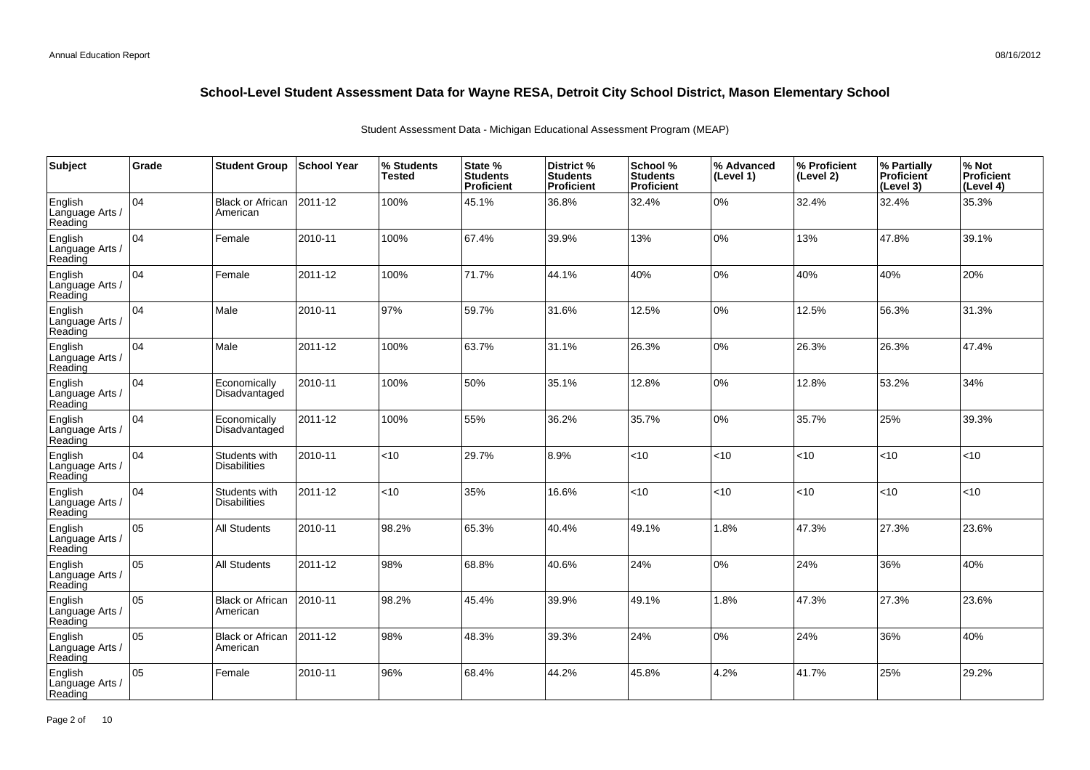| Subject                               | Grade | <b>Student Group</b>                 | ∣School Year | % Students<br>Tested | State %<br><b>Students</b><br>Proficient | District %<br><b>Students</b><br>Proficient | School %<br><b>Students</b><br><b>Proficient</b> | % Advanced<br>(Level 1) | % Proficient<br>(Level 2) | % Partially<br>Proficient<br>(Level 3) | % Not<br>Proficient<br>(Level 4) |
|---------------------------------------|-------|--------------------------------------|--------------|----------------------|------------------------------------------|---------------------------------------------|--------------------------------------------------|-------------------------|---------------------------|----------------------------------------|----------------------------------|
| English<br>Language Arts /<br>Reading | 04    | <b>Black or African</b><br>American  | 2011-12      | 100%                 | 45.1%                                    | 36.8%                                       | 32.4%                                            | $0\%$                   | 32.4%                     | 32.4%                                  | 35.3%                            |
| English<br>Language Arts /<br>Reading | 04    | Female                               | 2010-11      | 100%                 | 67.4%                                    | 39.9%                                       | 13%                                              | 0%                      | 13%                       | 47.8%                                  | 39.1%                            |
| English<br>Language Arts /<br>Reading | 04    | Female                               | 2011-12      | 100%                 | 71.7%                                    | 44.1%                                       | 40%                                              | $0\%$                   | 40%                       | 40%                                    | 20%                              |
| English<br>Language Arts /<br>Reading | 04    | Male                                 | 2010-11      | 97%                  | 59.7%                                    | 31.6%                                       | 12.5%                                            | 0%                      | 12.5%                     | 56.3%                                  | 31.3%                            |
| English<br>Language Arts /<br>Reading | 04    | Male                                 | 2011-12      | 100%                 | 63.7%                                    | 31.1%                                       | 26.3%                                            | 0%                      | 26.3%                     | 26.3%                                  | 47.4%                            |
| English<br>Language Arts /<br>Reading | 04    | Economically<br>Disadvantaged        | 2010-11      | 100%                 | 50%                                      | 35.1%                                       | 12.8%                                            | 0%                      | 12.8%                     | 53.2%                                  | 34%                              |
| English<br>Language Arts /<br>Reading | 04    | Economically<br>Disadvantaged        | 2011-12      | 100%                 | 55%                                      | 36.2%                                       | 35.7%                                            | $0\%$                   | 35.7%                     | 25%                                    | 39.3%                            |
| English<br>Language Arts<br>Reading   | 04    | Students with<br><b>Disabilities</b> | 2010-11      | <10                  | 29.7%                                    | 8.9%                                        | < 10                                             | < 10                    | <10                       | <10                                    | <10                              |
| English<br>Language Arts<br>Reading   | 04    | Students with<br><b>Disabilities</b> | 2011-12      | <10                  | 35%                                      | 16.6%                                       | < 10                                             | < 10                    | <10                       | <10                                    | < 10                             |
| English<br>Language Arts<br>Reading   | 05    | <b>All Students</b>                  | 2010-11      | 98.2%                | 65.3%                                    | 40.4%                                       | 49.1%                                            | 1.8%                    | 47.3%                     | 27.3%                                  | 23.6%                            |
| English<br>Language Arts<br>Reading   | 05    | <b>All Students</b>                  | 2011-12      | 98%                  | 68.8%                                    | 40.6%                                       | 24%                                              | 0%                      | 24%                       | 36%                                    | 40%                              |
| English<br>Language Arts<br>Reading   | 05    | <b>Black or African</b><br>American  | 2010-11      | 98.2%                | 45.4%                                    | 39.9%                                       | 49.1%                                            | 1.8%                    | 47.3%                     | 27.3%                                  | 23.6%                            |
| English<br>Language Arts<br>Reading   | 05    | <b>Black or African</b><br>American  | 2011-12      | 98%                  | 48.3%                                    | 39.3%                                       | 24%                                              | $0\%$                   | 24%                       | 36%                                    | 40%                              |
| English<br>Language Arts<br>Reading   | 05    | Female                               | 2010-11      | 96%                  | 68.4%                                    | 44.2%                                       | 45.8%                                            | 4.2%                    | 41.7%                     | 25%                                    | 29.2%                            |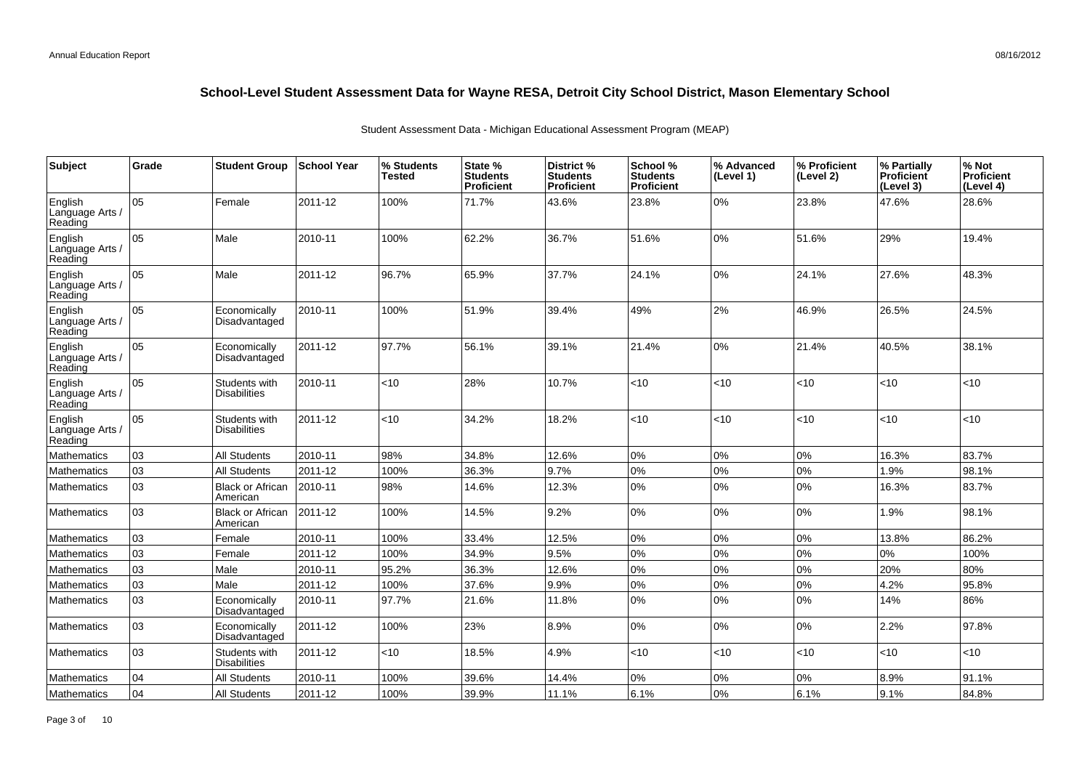| Subject                               | Grade | <b>Student Group</b>                 | School Year | % Students<br><b>Tested</b> | State %<br><b>Students</b><br><b>Proficient</b> | District %<br><b>Students</b><br><b>Proficient</b> | School %<br><b>Students</b><br><b>Proficient</b> | % Advanced<br>(Level 1) | % Proficient<br>(Level 2) | % Partially<br>Proficient<br>(Level 3) | % Not<br><b>Proficient</b><br>(Level 4) |
|---------------------------------------|-------|--------------------------------------|-------------|-----------------------------|-------------------------------------------------|----------------------------------------------------|--------------------------------------------------|-------------------------|---------------------------|----------------------------------------|-----------------------------------------|
| English<br>Language Arts /<br>Reading | 05    | Female                               | 2011-12     | 100%                        | 71.7%                                           | 43.6%                                              | 23.8%                                            | 0%                      | 23.8%                     | 47.6%                                  | 28.6%                                   |
| English<br>Language Arts /<br>Reading | 05    | Male                                 | 2010-11     | 100%                        | 62.2%                                           | 36.7%                                              | 51.6%                                            | 0%                      | 51.6%                     | 29%                                    | 19.4%                                   |
| English<br>Language Arts /<br>Reading | 05    | Male                                 | 2011-12     | 96.7%                       | 65.9%                                           | 37.7%                                              | 24.1%                                            | 0%                      | 24.1%                     | 27.6%                                  | 48.3%                                   |
| English<br>Language Arts<br>Reading   | 05    | Economically<br>Disadvantaged        | 2010-11     | 100%                        | 51.9%                                           | 39.4%                                              | 49%                                              | 2%                      | 46.9%                     | 26.5%                                  | 24.5%                                   |
| English<br>Language Arts /<br>Reading | 05    | Economically<br>Disadvantaged        | 2011-12     | 97.7%                       | 56.1%                                           | 39.1%                                              | 21.4%                                            | 0%                      | 21.4%                     | 40.5%                                  | 38.1%                                   |
| English<br>Language Arts<br>Reading   | 05    | Students with<br><b>Disabilities</b> | 2010-11     | <10                         | 28%                                             | 10.7%                                              | <10                                              | <10                     | <10                       | $ $ < 10                               | <10                                     |
| English<br>Language Arts<br>Reading   | 05    | Students with<br><b>Disabilities</b> | 2011-12     | $<$ 10                      | 34.2%                                           | 18.2%                                              | < 10                                             | <10                     | $<$ 10                    | < 10                                   | <10                                     |
| Mathematics                           | 03    | <b>All Students</b>                  | 2010-11     | 98%                         | 34.8%                                           | 12.6%                                              | 0%                                               | 0%                      | 0%                        | 16.3%                                  | 83.7%                                   |
| Mathematics                           | 03    | <b>All Students</b>                  | 2011-12     | 100%                        | 36.3%                                           | 9.7%                                               | $0\%$                                            | 0%                      | 0%                        | 1.9%                                   | 98.1%                                   |
| <b>Mathematics</b>                    | 03    | <b>Black or African</b><br>American  | 2010-11     | 98%                         | 14.6%                                           | 12.3%                                              | $0\%$                                            | 0%                      | 0%                        | 16.3%                                  | 83.7%                                   |
| <b>Mathematics</b>                    | 03    | <b>Black or African</b><br>American  | 2011-12     | 100%                        | 14.5%                                           | 9.2%                                               | 0%                                               | 0%                      | 0%                        | 1.9%                                   | 98.1%                                   |
| Mathematics                           | 03    | Female                               | 2010-11     | 100%                        | 33.4%                                           | 12.5%                                              | $0\%$                                            | 0%                      | 0%                        | 13.8%                                  | 86.2%                                   |
| <b>Mathematics</b>                    | 03    | Female                               | 2011-12     | 100%                        | 34.9%                                           | 9.5%                                               | $0\%$                                            | 0%                      | 0%                        | 0%                                     | 100%                                    |
| <b>Mathematics</b>                    | 03    | Male                                 | 2010-11     | 95.2%                       | 36.3%                                           | 12.6%                                              | 0%                                               | 0%                      | 0%                        | 20%                                    | 80%                                     |
| Mathematics                           | 03    | Male                                 | 2011-12     | 100%                        | 37.6%                                           | 9.9%                                               | $0\%$                                            | $0\%$                   | 0%                        | 4.2%                                   | 95.8%                                   |
| Mathematics                           | 03    | Economically<br>Disadvantaged        | 2010-11     | 97.7%                       | 21.6%                                           | 11.8%                                              | $0\%$                                            | 0%                      | 0%                        | 14%                                    | 86%                                     |
| <b>Mathematics</b>                    | 03    | Economically<br>Disadvantaged        | 2011-12     | 100%                        | 23%                                             | 8.9%                                               | $0\%$                                            | $0\%$                   | 0%                        | 2.2%                                   | 97.8%                                   |
| <b>Mathematics</b>                    | 03    | Students with<br><b>Disabilities</b> | 2011-12     | <10                         | 18.5%                                           | 4.9%                                               | < 10                                             | <10                     | <10                       | < 10                                   | <10                                     |
| Mathematics                           | 04    | <b>All Students</b>                  | 2010-11     | 100%                        | 39.6%                                           | 14.4%                                              | $0\%$                                            | 0%                      | 0%                        | 8.9%                                   | 91.1%                                   |
| Mathematics                           | 04    | <b>All Students</b>                  | 2011-12     | 100%                        | 39.9%                                           | 11.1%                                              | 6.1%                                             | 0%                      | 6.1%                      | 9.1%                                   | 84.8%                                   |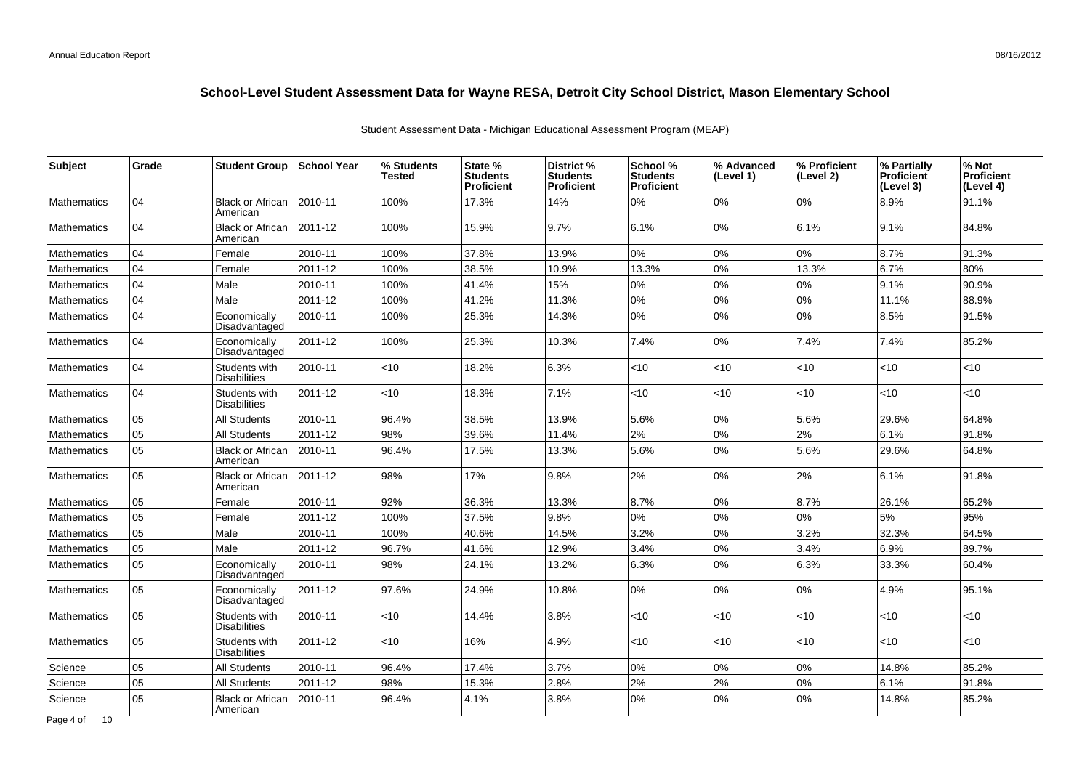| Grade | <b>Student Group</b>                 | School Year | % Students<br><b>Tested</b> | State %<br><b>Students</b><br>Proficient | District %<br><b>Students</b><br><b>Proficient</b> | School %<br><b>Students</b><br><b>Proficient</b> | % Advanced<br>(Level 1) | % Proficient<br>(Level 2) | % Partially<br>Proficient<br>(Level 3) | % Not<br><b>Proficient</b><br>(Level 4) |
|-------|--------------------------------------|-------------|-----------------------------|------------------------------------------|----------------------------------------------------|--------------------------------------------------|-------------------------|---------------------------|----------------------------------------|-----------------------------------------|
| 04    | <b>Black or African</b><br>American  | 2010-11     | 100%                        | 17.3%                                    | 14%                                                | 0%                                               | 0%                      | 0%                        | 8.9%                                   | 91.1%                                   |
| 04    | <b>Black or African</b><br>American  | 2011-12     | 100%                        | 15.9%                                    | 9.7%                                               | 6.1%                                             | 0%                      | 6.1%                      | 9.1%                                   | 84.8%                                   |
| 04    | Female                               | 2010-11     | 100%                        | 37.8%                                    | 13.9%                                              | $0\%$                                            | 0%                      | 0%                        | 8.7%                                   | 91.3%                                   |
| 04    | Female                               | 2011-12     | 100%                        | 38.5%                                    | 10.9%                                              | 13.3%                                            | 0%                      | 13.3%                     | 6.7%                                   | 80%                                     |
| 04    | Male                                 | 2010-11     | 100%                        | 41.4%                                    | 15%                                                | 0%                                               | $0\%$                   | 0%                        | 9.1%                                   | 90.9%                                   |
| 04    | Male                                 | 2011-12     | 100%                        | 41.2%                                    | 11.3%                                              | 0%                                               | 0%                      | 0%                        | 11.1%                                  | 88.9%                                   |
| 04    | Economically<br>Disadvantaged        | 2010-11     | 100%                        | 25.3%                                    | 14.3%                                              | $0\%$                                            | 0%                      | 0%                        | 8.5%                                   | 91.5%                                   |
| 04    | Economically<br>Disadvantaged        | 2011-12     | 100%                        | 25.3%                                    | 10.3%                                              | 7.4%                                             | 0%                      | 7.4%                      | 7.4%                                   | 85.2%                                   |
| 04    | Students with<br><b>Disabilities</b> | 2010-11     | <10                         | 18.2%                                    | 6.3%                                               | $<$ 10                                           | < 10                    | $<$ 10                    | < 10                                   | <10                                     |
| 104   | Students with<br><b>Disabilities</b> | 2011-12     | < 10                        | 18.3%                                    | 7.1%                                               | $<$ 10                                           | < 10                    | <10                       | < 10                                   | <10                                     |
| 05    | <b>All Students</b>                  | 2010-11     | 96.4%                       | 38.5%                                    | 13.9%                                              | 5.6%                                             | 0%                      | 5.6%                      | 29.6%                                  | 64.8%                                   |
| 05    | All Students                         | 2011-12     | 98%                         | 39.6%                                    | 11.4%                                              | 2%                                               | $0\%$                   | 2%                        | 6.1%                                   | 91.8%                                   |
| 05    | <b>Black or African</b><br>American  | 2010-11     | 96.4%                       | 17.5%                                    | 13.3%                                              | 5.6%                                             | $0\%$                   | 5.6%                      | 29.6%                                  | 64.8%                                   |
| 05    | <b>Black or African</b><br>American  | 2011-12     | 98%                         | 17%                                      | 9.8%                                               | 2%                                               | $0\%$                   | 2%                        | 6.1%                                   | 91.8%                                   |
| 05    | Female                               | 2010-11     | 92%                         | 36.3%                                    | 13.3%                                              | 8.7%                                             | $0\%$                   | 8.7%                      | 26.1%                                  | 65.2%                                   |
| 05    | Female                               | 2011-12     | 100%                        | 37.5%                                    | 9.8%                                               | $0\%$                                            | 0%                      | 0%                        | 5%                                     | 95%                                     |
| 05    | Male                                 | 2010-11     | 100%                        | 40.6%                                    | 14.5%                                              | 3.2%                                             | 0%                      | 3.2%                      | 32.3%                                  | 64.5%                                   |
| 05    | Male                                 | 2011-12     | 96.7%                       | 41.6%                                    | 12.9%                                              | 3.4%                                             | $0\%$                   | 3.4%                      | 6.9%                                   | 89.7%                                   |
| 05    | Economically<br>Disadvantaged        | 2010-11     | 98%                         | 24.1%                                    | 13.2%                                              | 6.3%                                             | $0\%$                   | 6.3%                      | 33.3%                                  | 60.4%                                   |
| 05    | Economically<br>Disadvantaged        | 2011-12     | 97.6%                       | 24.9%                                    | 10.8%                                              | 0%                                               | $0\%$                   | $0\%$                     | 4.9%                                   | 95.1%                                   |
| 05    | Students with<br><b>Disabilities</b> | 2010-11     | <10                         | 14.4%                                    | 3.8%                                               | $<$ 10                                           | < 10                    | $<$ 10                    | < 10                                   | <10                                     |
| 05    | Students with<br><b>Disabilities</b> | 2011-12     | <10                         | 16%                                      | 4.9%                                               | $<$ 10                                           | < 10                    | <10                       | <10                                    | <10                                     |
| 05    | <b>All Students</b>                  | 2010-11     | 96.4%                       | 17.4%                                    | 3.7%                                               | 0%                                               | $0\%$                   | 0%                        | 14.8%                                  | 85.2%                                   |
| 05    | <b>All Students</b>                  | 2011-12     | 98%                         | 15.3%                                    | 2.8%                                               | 2%                                               | 2%                      | 0%                        | 6.1%                                   | 91.8%                                   |
| 05    | <b>Black or African</b><br>American  | 2010-11     | 96.4%                       | 4.1%                                     | 3.8%                                               | 0%                                               | 0%                      | 0%                        | 14.8%                                  | 85.2%                                   |
|       |                                      |             |                             |                                          |                                                    |                                                  |                         |                           |                                        |                                         |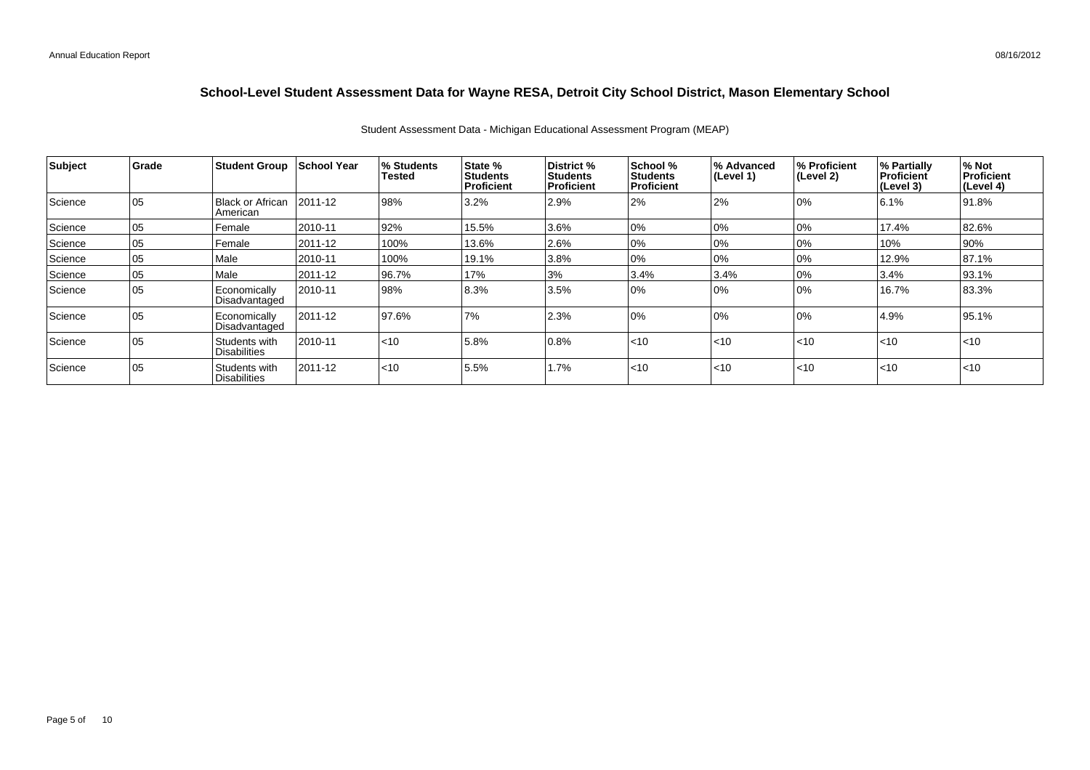| <b>Subject</b> | Grade | <b>Student Group</b>                 | School Year   | <b>% Students</b><br><b>Tested</b> | <b>State %</b><br><b>Students</b><br>Proficient | <b>District</b> %<br><b>Students</b><br>Proficient | School %<br><b>Students</b><br><b>Proficient</b> | % Advanced<br>$ $ (Level 1) | ∣% Proficient<br>∣(Level 2) | % Partially<br>Proficient<br>(Level 3) | % Not<br>Proficient<br>(Level 4) |
|----------------|-------|--------------------------------------|---------------|------------------------------------|-------------------------------------------------|----------------------------------------------------|--------------------------------------------------|-----------------------------|-----------------------------|----------------------------------------|----------------------------------|
| Science        | 05    | <b>Black or African</b><br>American  | $ 2011 - 12 $ | 98%                                | 3.2%                                            | 2.9%                                               | 2%                                               | 2%                          | 10%                         | 6.1%                                   | 91.8%                            |
| Science        | 05    | Female                               | 2010-11       | 92%                                | 15.5%                                           | 3.6%                                               | 0%                                               | 0%                          | 0%                          | 17.4%                                  | 82.6%                            |
| Science        | 05    | Female                               | 2011-12       | 100%                               | 13.6%                                           | 2.6%                                               | 0%                                               | 0%                          | 0%                          | 10%                                    | 90%                              |
| Science        | 05    | Male                                 | 2010-11       | 100%                               | 19.1%                                           | 3.8%                                               | 0%                                               | 0%                          | 0%                          | 12.9%                                  | 87.1%                            |
| Science        | 05    | Male                                 | 2011-12       | 96.7%                              | 17%                                             | 3%                                                 | 3.4%                                             | 3.4%                        | 0%                          | 3.4%                                   | 93.1%                            |
| Science        | 05    | Economically<br>Disadvantaged        | 2010-11       | 98%                                | 8.3%                                            | 3.5%                                               | 0%                                               | 0%                          | 10%                         | 16.7%                                  | 83.3%                            |
| Science        | l 05  | Economically<br>Disadvantaged        | 2011-12       | 97.6%                              | 7%                                              | 2.3%                                               | 0%                                               | 0%                          | 10%                         | 4.9%                                   | 95.1%                            |
| Science        | 105   | Students with<br><b>Disabilities</b> | 2010-11       | $ $ < 10                           | 5.8%                                            | 0.8%                                               | < 10                                             | $\leq 10$                   | < 10                        | $ $ < 10                               | $ $ < 10                         |
| Science        | 05    | Students with<br>l Disabilities      | 2011-12       | $ $ < 10                           | 5.5%                                            | 1.7%                                               | $<$ 10                                           | $\leq 10$                   | $<$ 10                      | $ $ < 10                               | $<$ 10                           |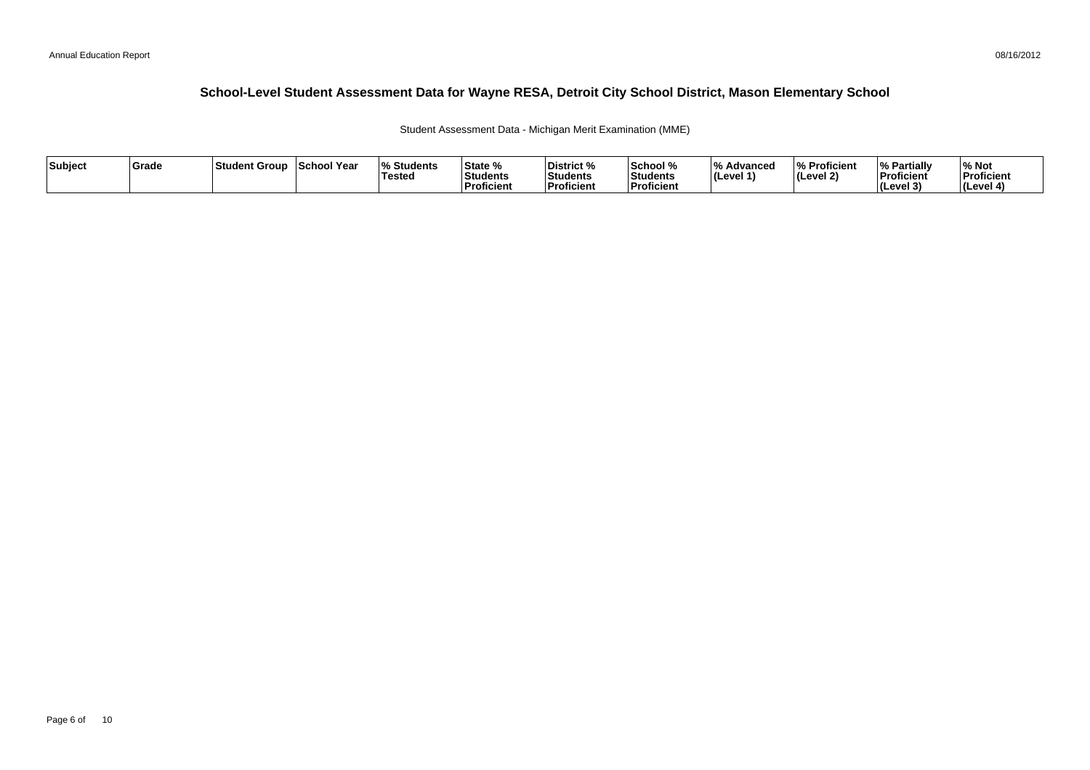Student Assessment Data - Michigan Merit Examination (MME)

| Subject | <b>Grade</b> | ⊺Student Group | School Year | <b>Students</b> l%<br>'Testeo | <b>State %</b><br>Students<br>Proficient | District %<br>Students<br><b>Proficient</b> | School %<br>Students<br>' Proficien. | /۱۵<br>Advanced<br>ILevel 1 | % Proficient<br>(Level 2) | <b>My Partially</b><br>Proficient<br>(Level 3) | % Not<br>Proficient<br>l (Level 4 |
|---------|--------------|----------------|-------------|-------------------------------|------------------------------------------|---------------------------------------------|--------------------------------------|-----------------------------|---------------------------|------------------------------------------------|-----------------------------------|
|---------|--------------|----------------|-------------|-------------------------------|------------------------------------------|---------------------------------------------|--------------------------------------|-----------------------------|---------------------------|------------------------------------------------|-----------------------------------|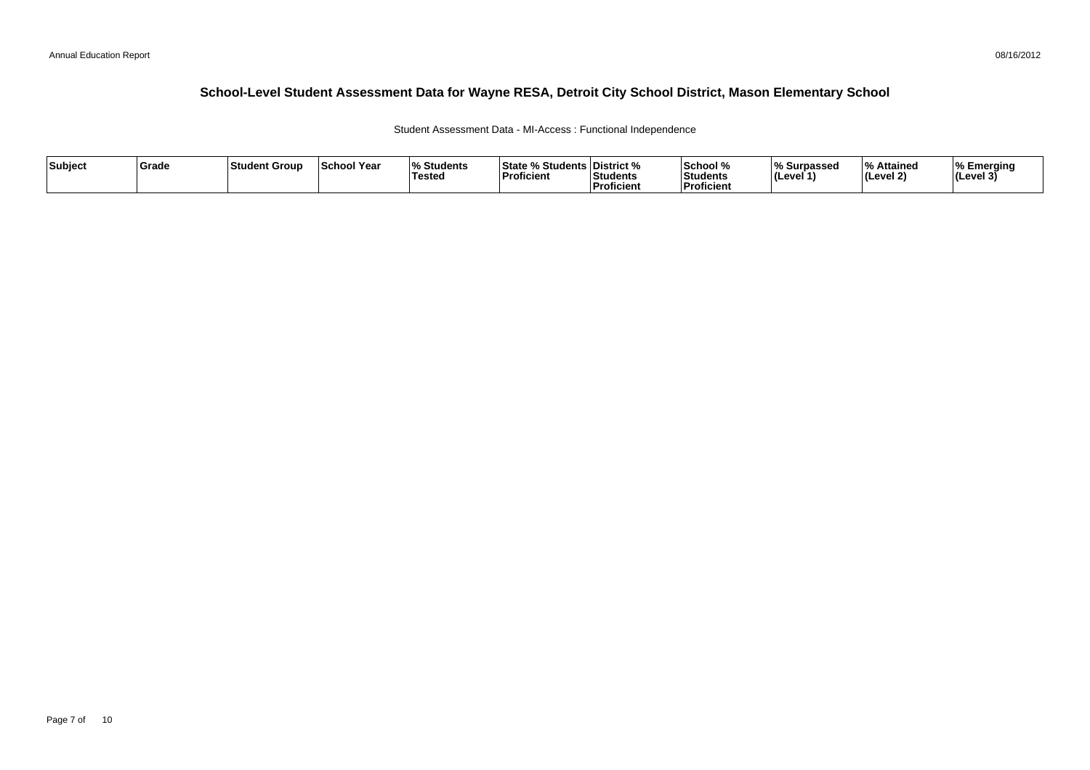Student Assessment Data - MI-Access : Functional Independence

| Subject | Grade | <b>Student Group</b> | <b>School Year</b> | $\mathbf{0}$<br><b>Students</b><br>Tested | % Students   District %<br>⊺State %<br>Proficient | Students<br>'Proficient | School %<br>Students<br><b>Proficient</b> | <b>Surpassec</b><br>70 YU<br>l (Level 1` | % Attained<br>(Level 2) | % Emerging<br>(Level 3) |
|---------|-------|----------------------|--------------------|-------------------------------------------|---------------------------------------------------|-------------------------|-------------------------------------------|------------------------------------------|-------------------------|-------------------------|
|---------|-------|----------------------|--------------------|-------------------------------------------|---------------------------------------------------|-------------------------|-------------------------------------------|------------------------------------------|-------------------------|-------------------------|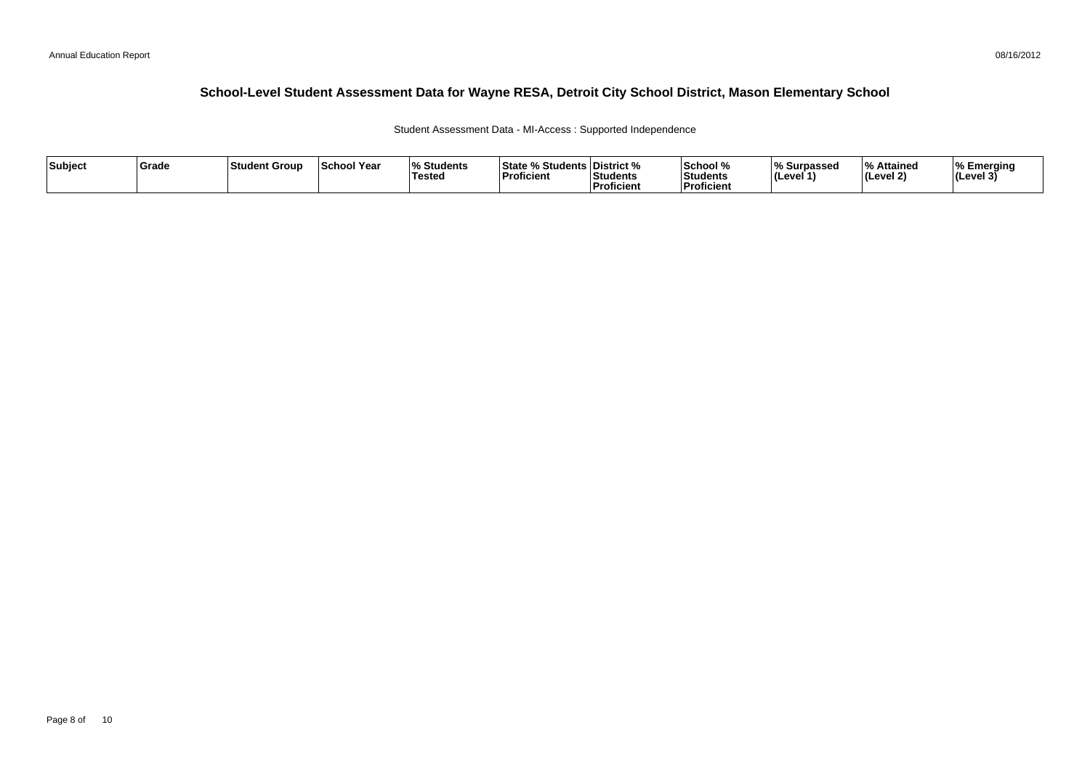#### 08/16/2012

#### **School-Level Student Assessment Data for Wayne RESA, Detroit City School District, Mason Elementary School**

Student Assessment Data - MI-Access : Supported Independence

| Subject | <b>Grade</b> | ∣Studen<br>`t Group | School Year | <b>Students</b><br>10/<br>Testeo | <sup>3</sup> Students L<br>⊺State %<br>Proficient | ∣District %<br>Students<br>Proficient | <b>School</b> %<br>Students<br>Proficien | % Surpassec<br>⊺l (Level 1 | % Attained<br>ים י<br>' <i>(L</i> evel 2) | % Emerging<br>II(Level 3) |
|---------|--------------|---------------------|-------------|----------------------------------|---------------------------------------------------|---------------------------------------|------------------------------------------|----------------------------|-------------------------------------------|---------------------------|
|---------|--------------|---------------------|-------------|----------------------------------|---------------------------------------------------|---------------------------------------|------------------------------------------|----------------------------|-------------------------------------------|---------------------------|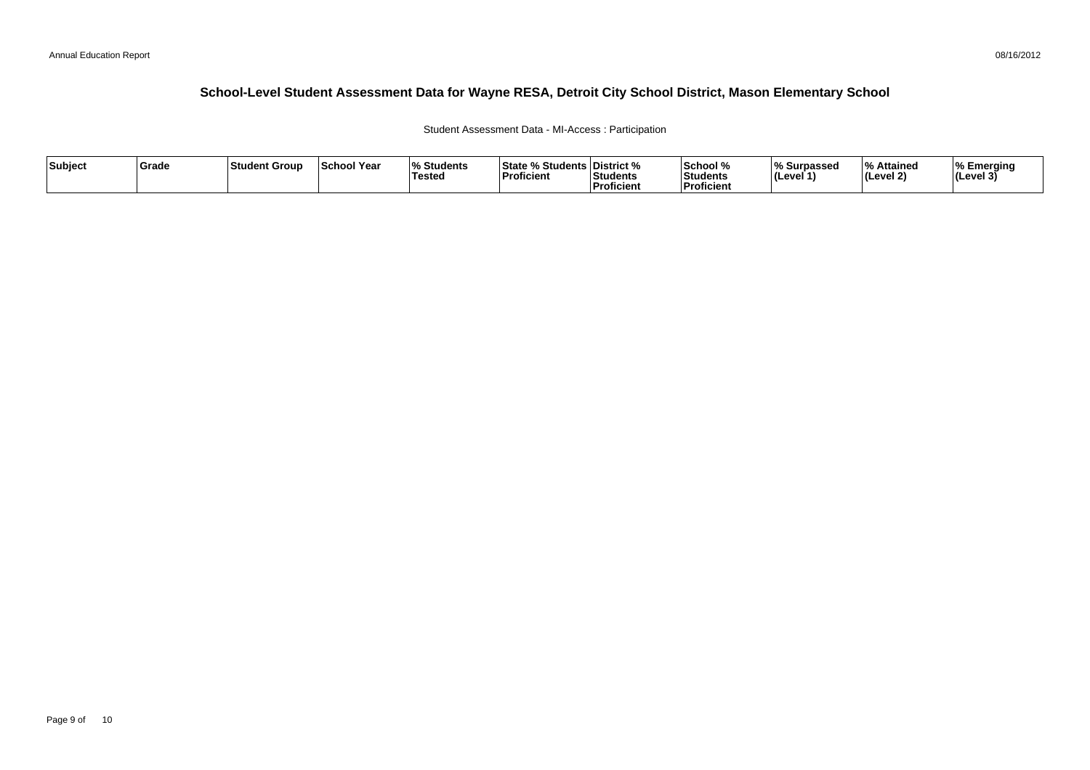#### 08/16/2012

#### **School-Level Student Assessment Data for Wayne RESA, Detroit City School District, Mason Elementary School**

#### Student Assessment Data - MI-Access : Participation

| Subject | ∣Grade | ⊺Student Group | <b>School Year</b> | $\overline{\mathbf{0}}$<br>Students ،<br>Tested | State % Students District %<br>Proficient | Students<br>Proficient | School %<br>Students<br><b>Proficient</b> | % Surpassed<br><b>I</b> (Level · | % Attained<br>(Level 2) | <b>I% Emerging</b><br> (Level 3) |
|---------|--------|----------------|--------------------|-------------------------------------------------|-------------------------------------------|------------------------|-------------------------------------------|----------------------------------|-------------------------|----------------------------------|
|---------|--------|----------------|--------------------|-------------------------------------------------|-------------------------------------------|------------------------|-------------------------------------------|----------------------------------|-------------------------|----------------------------------|